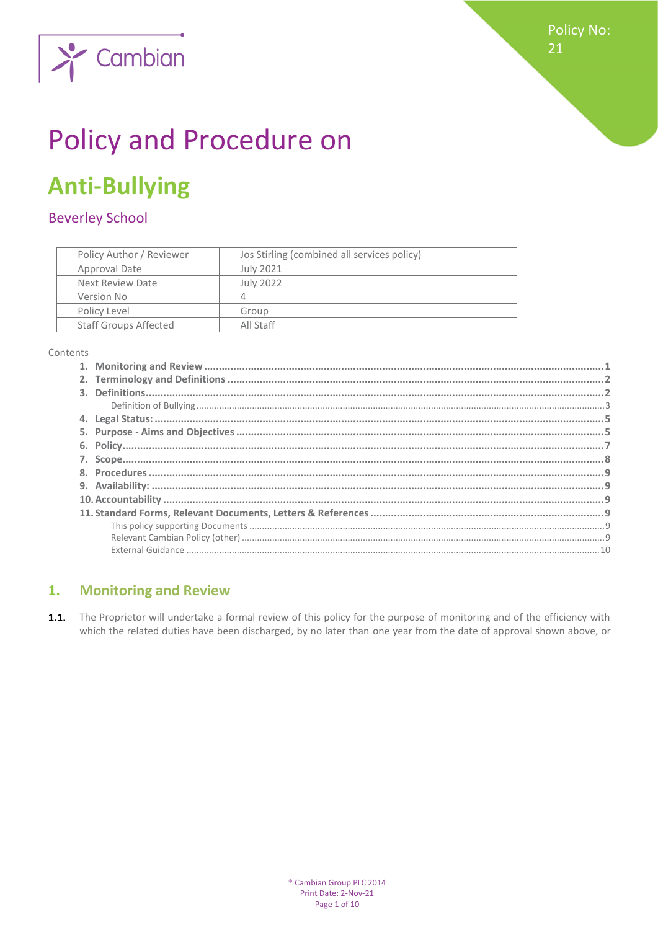

# **Policy and Procedure on**

## **Anti-Bullying**

Cambian

### **Beverley School**

| Policy Author / Reviewer     | Jos Stirling (combined all services policy) |
|------------------------------|---------------------------------------------|
| Approval Date                | July 2021                                   |
| Next Review Date             | July 2022                                   |
| Version No                   | 4                                           |
| Policy Level                 | Group                                       |
| <b>Staff Groups Affected</b> | All Staff                                   |

Contents

#### <span id="page-0-0"></span>**Monitoring and Review**  $1.$

 $1.1.$ The Proprietor will undertake a formal review of this policy for the purpose of monitoring and of the efficiency with which the related duties have been discharged, by no later than one year from the date of approval shown above, or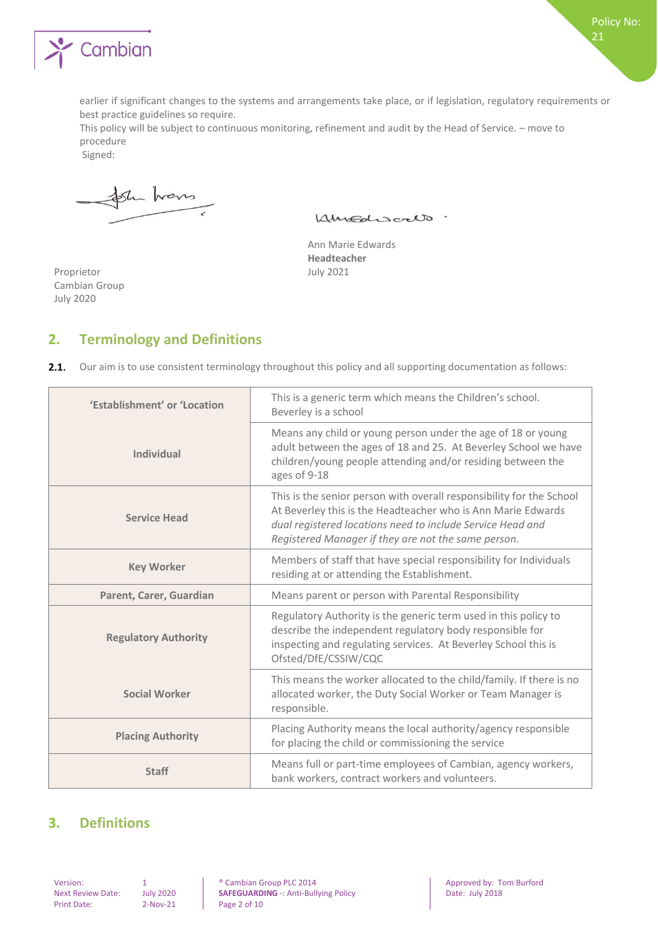

earlier if significant changes to the systems and arrangements take place, or if legislation, regulatory requirements or best practice guidelines so require.

This policy will be subject to continuous monitoring, refinement and audit by the Head of Service. – move to procedure

Signed:

Str hans

Kingdiscalo.

Ann Marie Edwards **Headteacher** July 2021

Proprietor Cambian Group July 2020

#### <span id="page-1-0"></span>**2. Terminology and Definitions**

|  |  | 2.1. Our aim is to use consistent terminology throughout this policy and all supporting documentation as follows: |  |  |  |  |
|--|--|-------------------------------------------------------------------------------------------------------------------|--|--|--|--|
|--|--|-------------------------------------------------------------------------------------------------------------------|--|--|--|--|

| 'Establishment' or 'Location | This is a generic term which means the Children's school.<br>Beverley is a school                                                                                                                                                                         |
|------------------------------|-----------------------------------------------------------------------------------------------------------------------------------------------------------------------------------------------------------------------------------------------------------|
| <b>Individual</b>            | Means any child or young person under the age of 18 or young<br>adult between the ages of 18 and 25. At Beverley School we have<br>children/young people attending and/or residing between the<br>ages of 9-18                                            |
| <b>Service Head</b>          | This is the senior person with overall responsibility for the School<br>At Beverley this is the Headteacher who is Ann Marie Edwards<br>dual registered locations need to include Service Head and<br>Registered Manager if they are not the same person. |
| <b>Key Worker</b>            | Members of staff that have special responsibility for Individuals<br>residing at or attending the Establishment.                                                                                                                                          |
| Parent, Carer, Guardian      | Means parent or person with Parental Responsibility                                                                                                                                                                                                       |
| <b>Regulatory Authority</b>  | Regulatory Authority is the generic term used in this policy to<br>describe the independent regulatory body responsible for<br>inspecting and regulating services. At Beverley School this is<br>Ofsted/DfE/CSSIW/CQC                                     |
| <b>Social Worker</b>         | This means the worker allocated to the child/family. If there is no<br>allocated worker, the Duty Social Worker or Team Manager is<br>responsible.                                                                                                        |
| <b>Placing Authority</b>     | Placing Authority means the local authority/agency responsible<br>for placing the child or commissioning the service                                                                                                                                      |
| <b>Staff</b>                 | Means full or part-time employees of Cambian, agency workers,<br>bank workers, contract workers and volunteers.                                                                                                                                           |

#### <span id="page-1-1"></span>**3. Definitions**

Print Date: 2-Nov-21 Page 2 of 10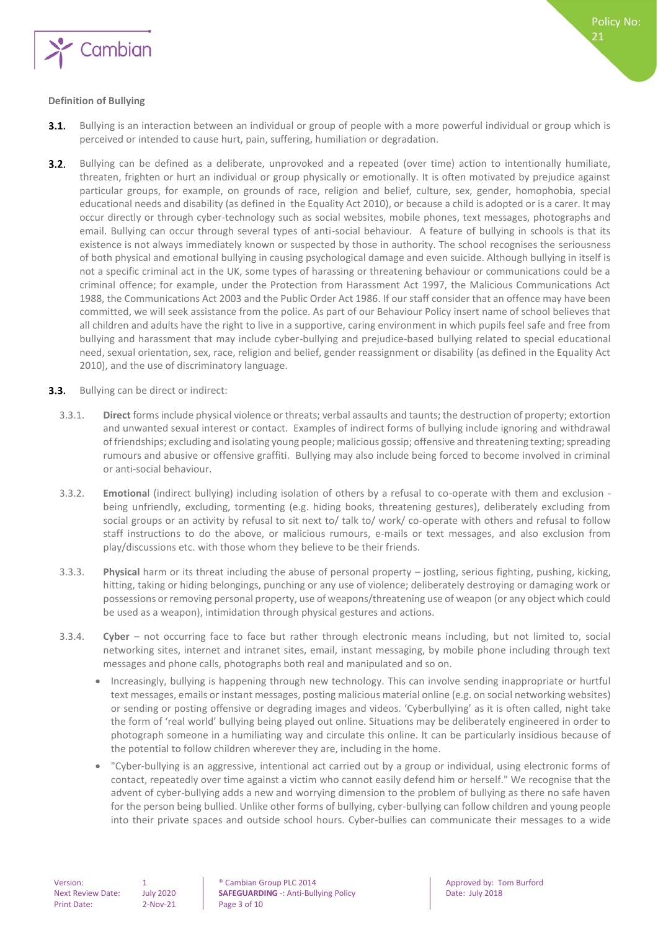

#### <span id="page-2-0"></span>**Definition of Bullying**

- Bullying is an interaction between an individual or group of people with a more powerful individual or group which is  $3.1.$ perceived or intended to cause hurt, pain, suffering, humiliation or degradation.
- $3.2.$ Bullying can be defined as a deliberate, unprovoked and a repeated (over time) action to intentionally humiliate, threaten, frighten or hurt an individual or group physically or emotionally. It is often motivated by prejudice against particular groups, for example, on grounds of race, religion and belief, culture, sex, gender, homophobia, special educational needs and disability (as defined in the Equality Act 2010), or because a child is adopted or is a carer. It may occur directly or through cyber-technology such as social websites, mobile phones, text messages, photographs and email. Bullying can occur through several types of anti-social behaviour. A feature of bullying in schools is that its existence is not always immediately known or suspected by those in authority. The school recognises the seriousness of both physical and emotional bullying in causing psychological damage and even suicide. Although bullying in itself is not a specific criminal act in the UK, some types of harassing or threatening behaviour or communications could be a criminal offence; for example, under the Protection from Harassment Act 1997, the Malicious Communications Act 1988, the Communications Act 2003 and the Public Order Act 1986. If our staff consider that an offence may have been committed, we will seek assistance from the police. As part of our Behaviour Policy insert name of school believes that all children and adults have the right to live in a supportive, caring environment in which pupils feel safe and free from bullying and harassment that may include cyber-bullying and prejudice-based bullying related to special educational need, sexual orientation, sex, race, religion and belief, gender reassignment or disability (as defined in the Equality Act 2010), and the use of discriminatory language.
- **3.3.** Bullying can be direct or indirect:
	- 3.3.1. **Direct** forms include physical violence or threats; verbal assaults and taunts; the destruction of property; extortion and unwanted sexual interest or contact. Examples of indirect forms of bullying include ignoring and withdrawal of friendships; excluding and isolating young people; malicious gossip; offensive and threatening texting; spreading rumours and abusive or offensive graffiti. Bullying may also include being forced to become involved in criminal or anti-social behaviour.
	- 3.3.2. **Emotiona**l (indirect bullying) including isolation of others by a refusal to co-operate with them and exclusion being unfriendly, excluding, tormenting (e.g. hiding books, threatening gestures), deliberately excluding from social groups or an activity by refusal to sit next to/ talk to/ work/ co-operate with others and refusal to follow staff instructions to do the above, or malicious rumours, e-mails or text messages, and also exclusion from play/discussions etc. with those whom they believe to be their friends.
	- 3.3.3. **Physical** harm or its threat including the abuse of personal property jostling, serious fighting, pushing, kicking, hitting, taking or hiding belongings, punching or any use of violence; deliberately destroying or damaging work or possessions or removing personal property, use of weapons/threatening use of weapon (or any object which could be used as a weapon), intimidation through physical gestures and actions.
	- 3.3.4. **Cyber** not occurring face to face but rather through electronic means including, but not limited to, social networking sites, internet and intranet sites, email, instant messaging, by mobile phone including through text messages and phone calls, photographs both real and manipulated and so on.
		- Increasingly, bullying is happening through new technology. This can involve sending inappropriate or hurtful text messages, emails or instant messages, posting malicious material online (e.g. on social networking websites) or sending or posting offensive or degrading images and videos. 'Cyberbullying' as it is often called, night take the form of 'real world' bullying being played out online. Situations may be deliberately engineered in order to photograph someone in a humiliating way and circulate this online. It can be particularly insidious because of the potential to follow children wherever they are, including in the home.
		- "Cyber-bullying is an aggressive, intentional act carried out by a group or individual, using electronic forms of contact, repeatedly over time against a victim who cannot easily defend him or herself." We recognise that the advent of cyber-bullying adds a new and worrying dimension to the problem of bullying as there no safe haven for the person being bullied. Unlike other forms of bullying, cyber-bullying can follow children and young people into their private spaces and outside school hours. Cyber-bullies can communicate their messages to a wide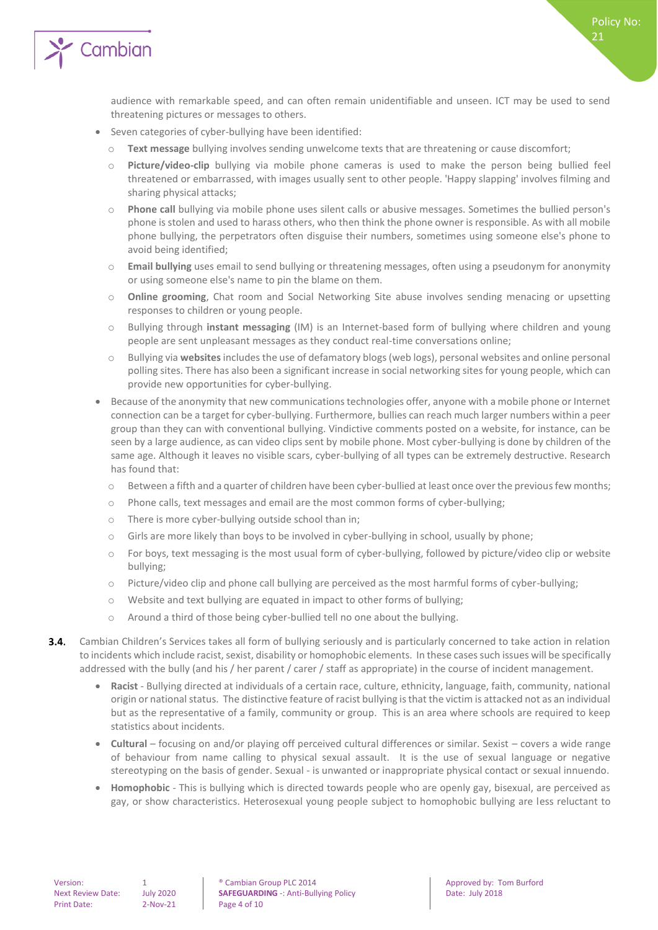

audience with remarkable speed, and can often remain unidentifiable and unseen. ICT may be used to send threatening pictures or messages to others.

- Seven categories of cyber-bullying have been identified:
	- o **Text message** bullying involves sending unwelcome texts that are threatening or cause discomfort;
	- o **Picture/video-clip** bullying via mobile phone cameras is used to make the person being bullied feel threatened or embarrassed, with images usually sent to other people. 'Happy slapping' involves filming and sharing physical attacks;
	- o **Phone call** bullying via mobile phone uses silent calls or abusive messages. Sometimes the bullied person's phone is stolen and used to harass others, who then think the phone owner is responsible. As with all mobile phone bullying, the perpetrators often disguise their numbers, sometimes using someone else's phone to avoid being identified;
	- o **Email bullying** uses email to send bullying or threatening messages, often using a pseudonym for anonymity or using someone else's name to pin the blame on them.
	- o **Online grooming**, Chat room and Social Networking Site abuse involves sending menacing or upsetting responses to children or young people.
	- o Bullying through **instant messaging** (IM) is an Internet-based form of bullying where children and young people are sent unpleasant messages as they conduct real-time conversations online;
	- o Bullying via **websites**includes the use of defamatory blogs (web logs), personal websites and online personal polling sites. There has also been a significant increase in social networking sites for young people, which can provide new opportunities for cyber-bullying.
- Because of the anonymity that new communications technologies offer, anyone with a mobile phone or Internet connection can be a target for cyber-bullying. Furthermore, bullies can reach much larger numbers within a peer group than they can with conventional bullying. Vindictive comments posted on a website, for instance, can be seen by a large audience, as can video clips sent by mobile phone. Most cyber-bullying is done by children of the same age. Although it leaves no visible scars, cyber-bullying of all types can be extremely destructive. Research has found that:
	- o Between a fifth and a quarter of children have been cyber-bullied at least once over the previous few months;
	- o Phone calls, text messages and email are the most common forms of cyber-bullying;
	- o There is more cyber-bullying outside school than in;
	- o Girls are more likely than boys to be involved in cyber-bullying in school, usually by phone;
	- o For boys, text messaging is the most usual form of cyber-bullying, followed by picture/video clip or website bullying;
	- o Picture/video clip and phone call bullying are perceived as the most harmful forms of cyber-bullying;
	- o Website and text bullying are equated in impact to other forms of bullying;
	- o Around a third of those being cyber-bullied tell no one about the bullying.
- $3.4.$ Cambian Children's Services takes all form of bullying seriously and is particularly concerned to take action in relation to incidents which include racist, sexist, disability or homophobic elements. In these cases such issues will be specifically addressed with the bully (and his / her parent / carer / staff as appropriate) in the course of incident management.
	- **Racist**  Bullying directed at individuals of a certain race, culture, ethnicity, language, faith, community, national origin or national status. The distinctive feature of racist bullying is that the victim is attacked not as an individual but as the representative of a family, community or group. This is an area where schools are required to keep statistics about incidents.
	- **Cultural** focusing on and/or playing off perceived cultural differences or similar. Sexist covers a wide range of behaviour from name calling to physical sexual assault. It is the use of sexual language or negative stereotyping on the basis of gender. Sexual - is unwanted or inappropriate physical contact or sexual innuendo.
	- **Homophobic** This is bullying which is directed towards people who are openly gay, bisexual, are perceived as gay, or show characteristics. Heterosexual young people subject to homophobic bullying are less reluctant to

Version: 1 0 0 1 **1** Cambian Group PLC 2014 **Approved by:** Tom Burford Next Review Date: 1 uly 2020 **SAFEGUARDING** -: Anti-Bullying Policy **Cambian Date: 1 Date: 1 uly 2018** Next Review Date: July 2020 **SAFEGUARDING** -: Anti-Bullying Policy Date: July 2018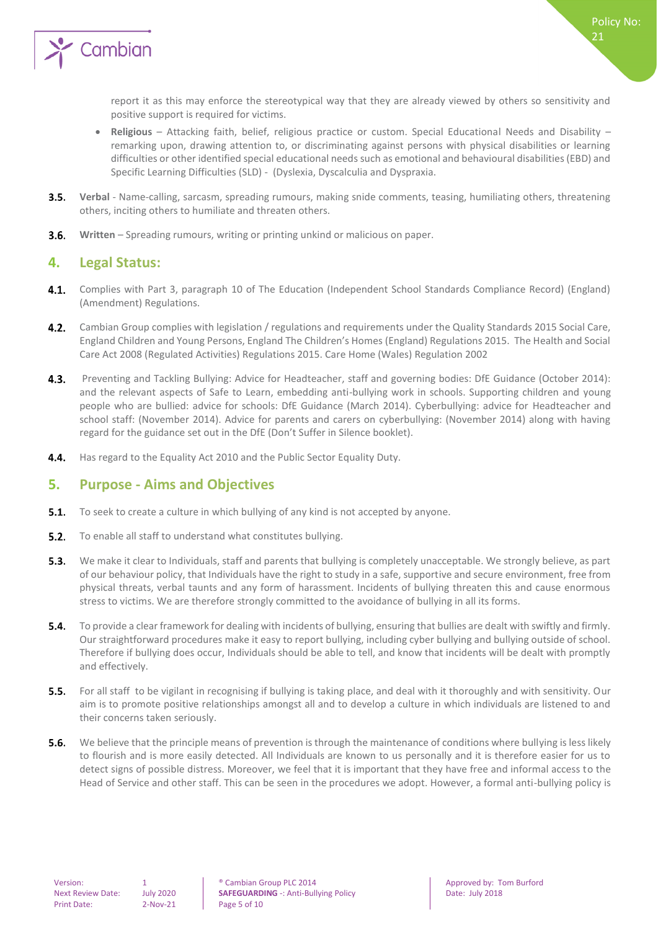

report it as this may enforce the stereotypical way that they are already viewed by others so sensitivity and positive support is required for victims.

- **Religious** Attacking faith, belief, religious practice or custom. Special Educational Needs and Disability remarking upon, drawing attention to, or discriminating against persons with physical disabilities or learning difficulties or other identified special educational needs such as emotional and behavioural disabilities (EBD) and Specific Learning Difficulties (SLD) - (Dyslexia, Dyscalculia and Dyspraxia.
- $3.5.$ **Verbal** - Name-calling, sarcasm, spreading rumours, making snide comments, teasing, humiliating others, threatening others, inciting others to humiliate and threaten others.
- <span id="page-4-0"></span> $3.6.$ **Written** – Spreading rumours, writing or printing unkind or malicious on paper.

#### **4. Legal Status:**

- 4.1. Complies with Part 3, paragraph 10 of The Education (Independent School Standards Compliance Record) (England) (Amendment) Regulations.
- 4.2. Cambian Group complies with legislation / regulations and requirements under the Quality Standards 2015 Social Care, England Children and Young Persons, England The Children's Homes (England) Regulations 2015. The Health and Social Care Act 2008 (Regulated Activities) Regulations 2015. Care Home (Wales) Regulation 2002
- $4.3.$ Preventing and Tackling Bullying: Advice for Headteacher, staff and governing bodies: DfE Guidance (October 2014): and the relevant aspects of Safe to Learn, embedding anti-bullying work in schools. Supporting children and young people who are bullied: advice for schools: DfE Guidance (March 2014). Cyberbullying: advice for Headteacher and school staff: (November 2014). Advice for parents and carers on cyberbullying: (November 2014) along with having regard for the guidance set out in the DfE (Don't Suffer in Silence booklet).
- <span id="page-4-1"></span> $4.4.$ Has regard to the Equality Act 2010 and the Public Sector Equality Duty.

#### **5. Purpose - Aims and Objectives**

- $5.1.$ To seek to create a culture in which bullying of any kind is not accepted by anyone.
- $5.2.$ To enable all staff to understand what constitutes bullying.
- $5.3.$ We make it clear to Individuals, staff and parents that bullying is completely unacceptable. We strongly believe, as part of our behaviour policy, that Individuals have the right to study in a safe, supportive and secure environment, free from physical threats, verbal taunts and any form of harassment. Incidents of bullying threaten this and cause enormous stress to victims. We are therefore strongly committed to the avoidance of bullying in all its forms.
- **5.4.** To provide a clear framework for dealing with incidents of bullying, ensuring that bullies are dealt with swiftly and firmly. Our straightforward procedures make it easy to report bullying, including cyber bullying and bullying outside of school. Therefore if bullying does occur, Individuals should be able to tell, and know that incidents will be dealt with promptly and effectively.
- $5.5.$ For all staff to be vigilant in recognising if bullying is taking place, and deal with it thoroughly and with sensitivity. Our aim is to promote positive relationships amongst all and to develop a culture in which individuals are listened to and their concerns taken seriously.
- $5.6.$ We believe that the principle means of prevention is through the maintenance of conditions where bullying is less likely to flourish and is more easily detected. All Individuals are known to us personally and it is therefore easier for us to detect signs of possible distress. Moreover, we feel that it is important that they have free and informal access to the Head of Service and other staff. This can be seen in the procedures we adopt. However, a formal anti-bullying policy is

Version: 1 **1 Cambian Group PLC 2014 Approved by: Tom Burford 1 Approved by: Tom Burford** Next Review Date: July 2020 **SAFEGUARDING** -: Anti-Bullying Policy Date: July 2018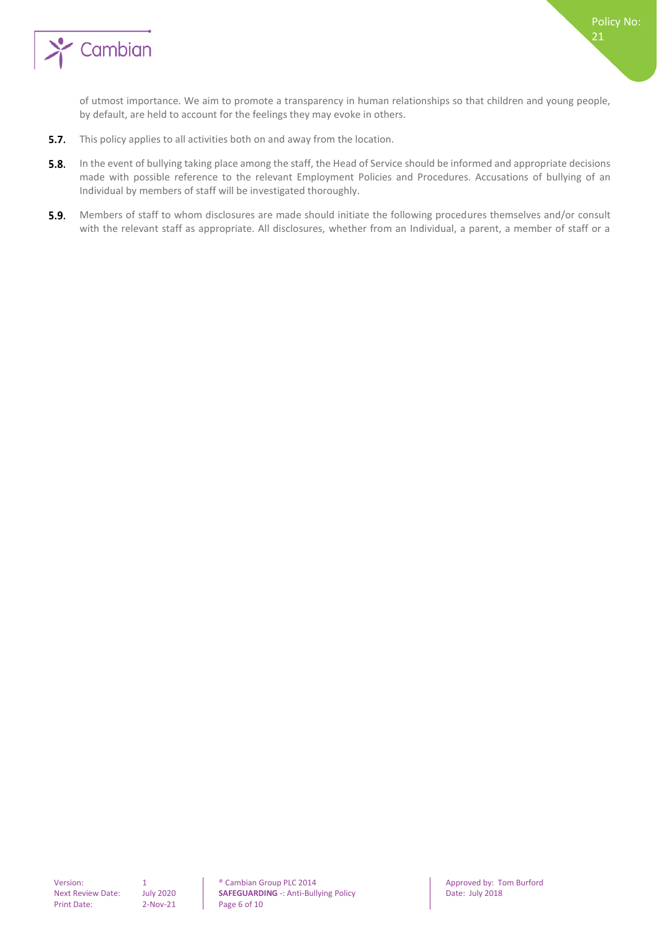

of utmost importance. We aim to promote a transparency in human relationships so that children and young people, by default, are held to account for the feelings they may evoke in others.

Policy No:

21

- $5.7.$ This policy applies to all activities both on and away from the location.
- $5.8.$ In the event of bullying taking place among the staff, the Head of Service should be informed and appropriate decisions made with possible reference to the relevant Employment Policies and Procedures. Accusations of bullying of an Individual by members of staff will be investigated thoroughly.
- 5.9. Members of staff to whom disclosures are made should initiate the following procedures themselves and/or consult with the relevant staff as appropriate. All disclosures, whether from an Individual, a parent, a member of staff or a

Version: 1 0 0 1 **1** © Cambian Group PLC 2014 **Approved by:** Tom Burford Next Review Date: 0 1 1 0 13 Approved by: Tom Burford **SAFEGUARDING** -: Anti-Bullying Policy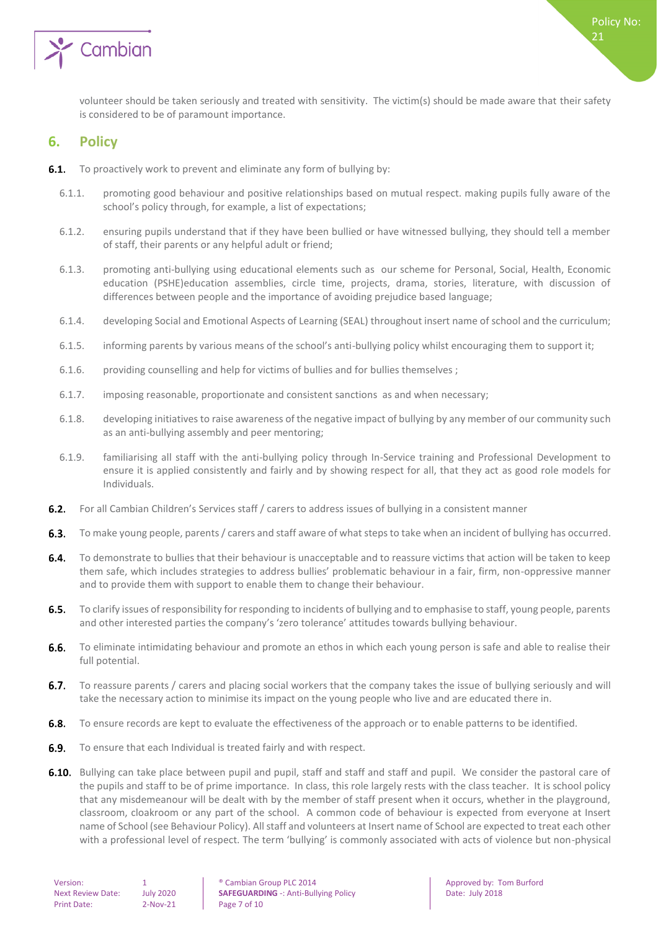

<span id="page-6-0"></span>volunteer should be taken seriously and treated with sensitivity. The victim(s) should be made aware that their safety is considered to be of paramount importance.

#### **6. Policy**

- **6.1.** To proactively work to prevent and eliminate any form of bullying by:
	- 6.1.1. promoting good behaviour and positive relationships based on mutual respect. making pupils fully aware of the school's policy through, for example, a list of expectations;
	- 6.1.2. ensuring pupils understand that if they have been bullied or have witnessed bullying, they should tell a member of staff, their parents or any helpful adult or friend;
	- 6.1.3. promoting anti-bullying using educational elements such as our scheme for Personal, Social, Health, Economic education (PSHE)education assemblies, circle time, projects, drama, stories, literature, with discussion of differences between people and the importance of avoiding prejudice based language;
	- 6.1.4. developing Social and Emotional Aspects of Learning (SEAL) throughout insert name of school and the curriculum;
	- 6.1.5. informing parents by various means of the school's anti-bullying policy whilst encouraging them to support it;
	- 6.1.6. providing counselling and help for victims of bullies and for bullies themselves ;
	- 6.1.7. imposing reasonable, proportionate and consistent sanctions as and when necessary;
	- 6.1.8. developing initiatives to raise awareness of the negative impact of bullying by any member of our community such as an anti-bullying assembly and peer mentoring;
	- 6.1.9. familiarising all staff with the anti-bullying policy through In-Service training and Professional Development to ensure it is applied consistently and fairly and by showing respect for all, that they act as good role models for Individuals.
- $6.2.$ For all Cambian Children's Services staff / carers to address issues of bullying in a consistent manner
- To make young people, parents / carers and staff aware of what steps to take when an incident of bullying has occurred.  $6.3.$
- $6.4.$ To demonstrate to bullies that their behaviour is unacceptable and to reassure victims that action will be taken to keep them safe, which includes strategies to address bullies' problematic behaviour in a fair, firm, non-oppressive manner and to provide them with support to enable them to change their behaviour.
- $6.5.$ To clarify issues of responsibility for responding to incidents of bullying and to emphasise to staff, young people, parents and other interested parties the company's 'zero tolerance' attitudes towards bullying behaviour.
- $6.6.$ To eliminate intimidating behaviour and promote an ethos in which each young person is safe and able to realise their full potential.
- $6.7.$ To reassure parents / carers and placing social workers that the company takes the issue of bullying seriously and will take the necessary action to minimise its impact on the young people who live and are educated there in.
- **6.8.** To ensure records are kept to evaluate the effectiveness of the approach or to enable patterns to be identified.
- **6.9.** To ensure that each Individual is treated fairly and with respect.
- 6.10. Bullying can take place between pupil and pupil, staff and staff and staff and pupil. We consider the pastoral care of the pupils and staff to be of prime importance. In class, this role largely rests with the class teacher. It is school policy that any misdemeanour will be dealt with by the member of staff present when it occurs, whether in the playground, classroom, cloakroom or any part of the school. A common code of behaviour is expected from everyone at Insert name of School (see Behaviour Policy). All staff and volunteers at Insert name of School are expected to treat each other with a professional level of respect. The term 'bullying' is commonly associated with acts of violence but non-physical

| Version:                 |     |
|--------------------------|-----|
| <b>Next Review Date:</b> | Jt. |
| <b>Print Date:</b>       |     |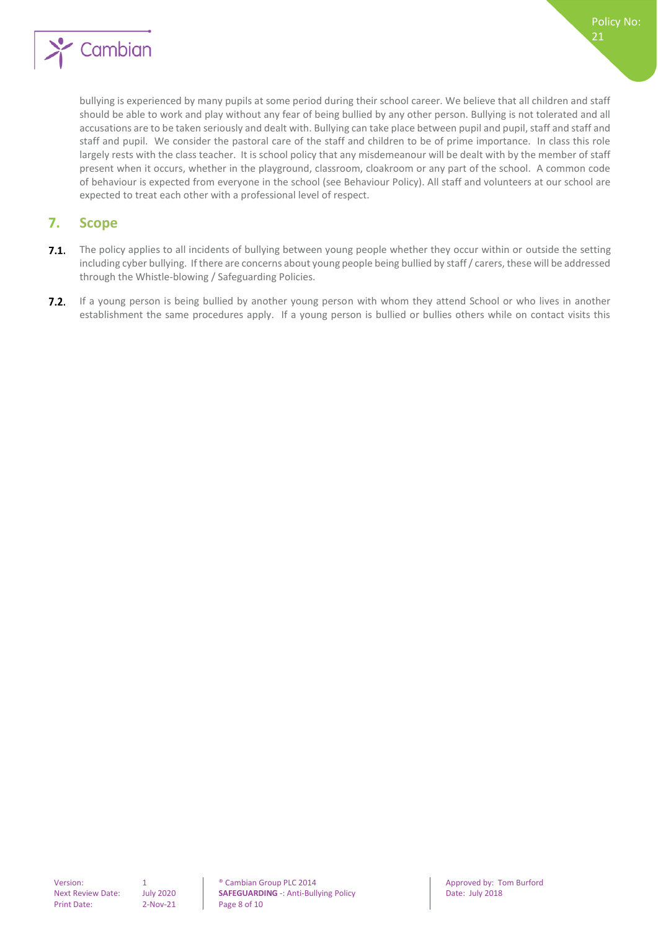

bullying is experienced by many pupils at some period during their school career. We believe that all children and staff should be able to work and play without any fear of being bullied by any other person. Bullying is not tolerated and all accusations are to be taken seriously and dealt with. Bullying can take place between pupil and pupil, staff and staff and staff and pupil. We consider the pastoral care of the staff and children to be of prime importance. In class this role largely rests with the class teacher. It is school policy that any misdemeanour will be dealt with by the member of staff present when it occurs, whether in the playground, classroom, cloakroom or any part of the school. A common code of behaviour is expected from everyone in the school (see Behaviour Policy). All staff and volunteers at our school are expected to treat each other with a professional level of respect.

#### <span id="page-7-0"></span>**7. Scope**

- $7.1.$ The policy applies to all incidents of bullying between young people whether they occur within or outside the setting including cyber bullying. If there are concerns about young people being bullied by staff / carers, these will be addressed through the Whistle-blowing / Safeguarding Policies.
- 7.2. If a young person is being bullied by another young person with whom they attend School or who lives in another establishment the same procedures apply. If a young person is bullied or bullies others while on contact visits this

Version: 1 0 0 1 **1** Cambian Group PLC 2014<br> **Next Review Date:** July 2020 **SAFEGUARDING** -: Anti-Bullying Policy **1998** Date: July 2018 Next Review Date: July 2020 **SAFEGUARDING** -: Anti-Bullying Policy Date: July 2018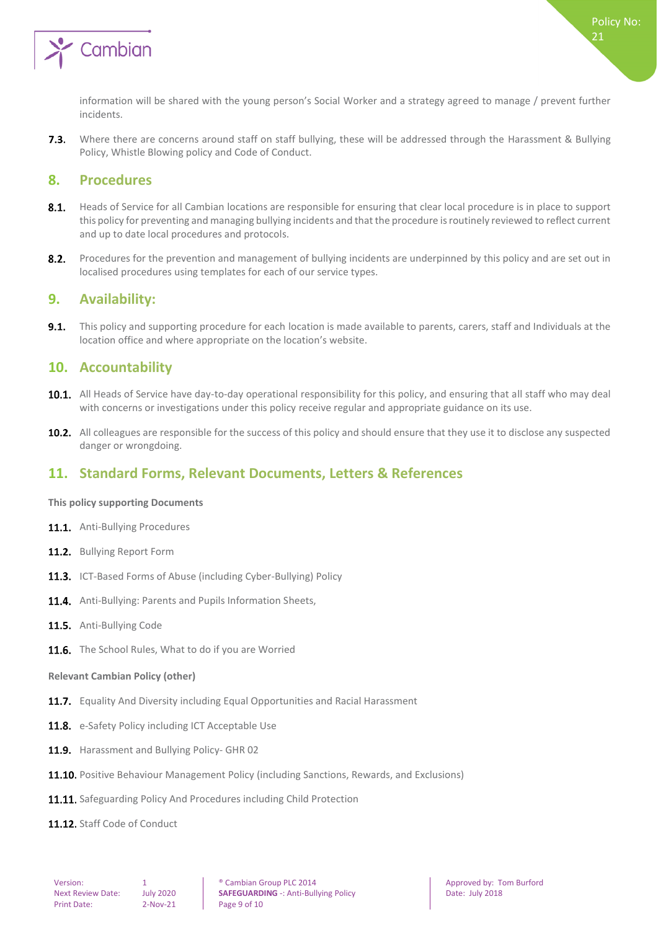

Where there are concerns around staff on staff bullying, these will be addressed through the Harassment & Bullying  $7.3.$ Policy, Whistle Blowing policy and Code of Conduct.

#### <span id="page-8-0"></span>**8. Procedures**

- $8.1.$ Heads of Service for all Cambian locations are responsible for ensuring that clear local procedure is in place to support this policy for preventing and managing bullying incidents and that the procedure is routinely reviewed to reflect current and up to date local procedures and protocols.
- $8.2.$ Procedures for the prevention and management of bullying incidents are underpinned by this policy and are set out in localised procedures using templates for each of our service types.

#### <span id="page-8-1"></span>**9. Availability:**

 $9.1.$ This policy and supporting procedure for each location is made available to parents, carers, staff and Individuals at the location office and where appropriate on the location's website.

#### <span id="page-8-2"></span>**10. Accountability**

- 10.1. All Heads of Service have day-to-day operational responsibility for this policy, and ensuring that all staff who may deal with concerns or investigations under this policy receive regular and appropriate guidance on its use.
- 10.2. All colleagues are responsible for the success of this policy and should ensure that they use it to disclose any suspected danger or wrongdoing.

#### <span id="page-8-3"></span>**11. Standard Forms, Relevant Documents, Letters & References**

#### <span id="page-8-4"></span>**This policy supporting Documents**

- 11.1. Anti-Bullying Procedures
- 11.2. Bullving Report Form
- 11.3. ICT-Based Forms of Abuse (including Cyber-Bullying) Policy
- 11.4. Anti-Bullying: Parents and Pupils Information Sheets,
- 11.5. Anti-Bullving Code
- <span id="page-8-5"></span>11.6. The School Rules, What to do if you are Worried

#### **Relevant Cambian Policy (other)**

- 11.7. Equality And Diversity including Equal Opportunities and Racial Harassment
- 11.8. e-Safety Policy including ICT Acceptable Use
- 11.9. Harassment and Bullying Policy- GHR 02
- 11.10. Positive Behaviour Management Policy (including Sanctions, Rewards, and Exclusions)
- 11.11. Safeguarding Policy And Procedures including Child Protection
- 11.12. Staff Code of Conduct

Version: 1 **1 Cambian Group PLC 2014 Approved by: Tom Burford 1 Approved by: Tom Burford** Next Review Date: July 2020 **SAFEGUARDING** -: Anti-Bullying Policy Date: July 2018